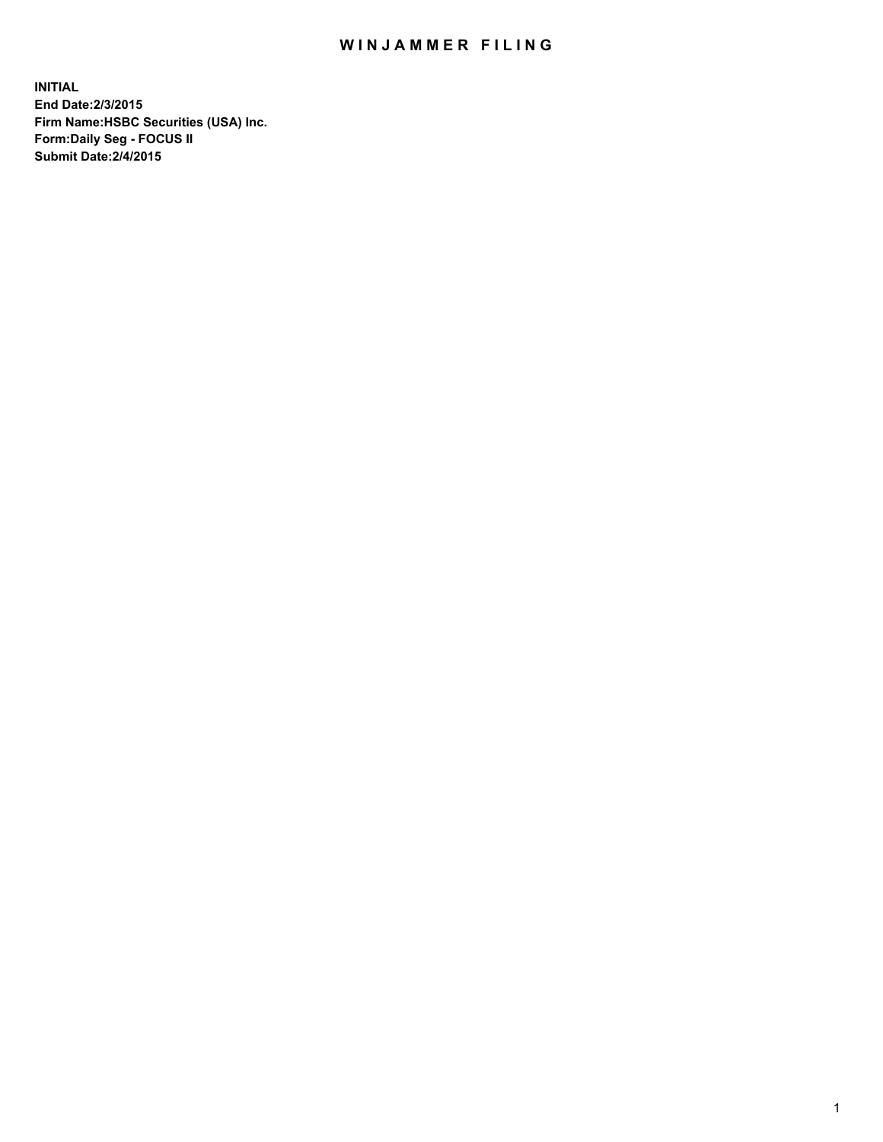## WIN JAMMER FILING

**INITIAL End Date:2/3/2015 Firm Name:HSBC Securities (USA) Inc. Form:Daily Seg - FOCUS II Submit Date:2/4/2015**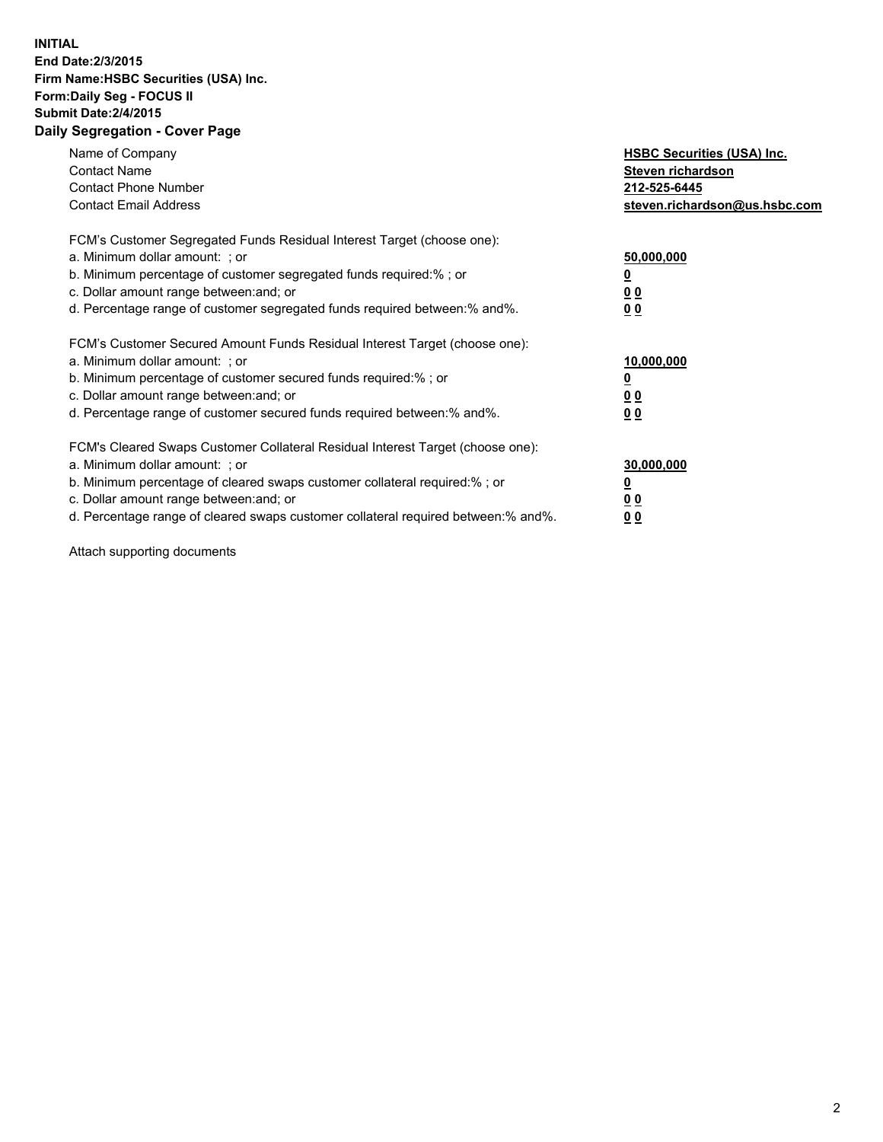## **INITIAL End Date:2/3/2015 Firm Name:HSBC Securities (USA) Inc. Form:Daily Seg - FOCUS II Submit Date:2/4/2015 Daily Segregation - Cover Page**

| Name of Company<br><b>Contact Name</b><br><b>Contact Phone Number</b><br><b>Contact Email Address</b>                                                                                                                                                                                                                         | <b>HSBC Securities (USA) Inc.</b><br>Steven richardson<br>212-525-6445<br>steven.richardson@us.hsbc.com |
|-------------------------------------------------------------------------------------------------------------------------------------------------------------------------------------------------------------------------------------------------------------------------------------------------------------------------------|---------------------------------------------------------------------------------------------------------|
| FCM's Customer Segregated Funds Residual Interest Target (choose one):<br>a. Minimum dollar amount: ; or<br>b. Minimum percentage of customer segregated funds required:% ; or<br>c. Dollar amount range between: and; or<br>d. Percentage range of customer segregated funds required between: % and %.                      | 50,000,000<br>0 <sub>0</sub><br>00                                                                      |
| FCM's Customer Secured Amount Funds Residual Interest Target (choose one):<br>a. Minimum dollar amount: ; or<br>b. Minimum percentage of customer secured funds required:%; or<br>c. Dollar amount range between: and; or<br>d. Percentage range of customer secured funds required between: % and %.                         | 10,000,000<br>00<br>00                                                                                  |
| FCM's Cleared Swaps Customer Collateral Residual Interest Target (choose one):<br>a. Minimum dollar amount: ; or<br>b. Minimum percentage of cleared swaps customer collateral required:%; or<br>c. Dollar amount range between: and; or<br>d. Percentage range of cleared swaps customer collateral required between:% and%. | 30,000,000<br>0 <sub>0</sub><br>00                                                                      |

Attach supporting documents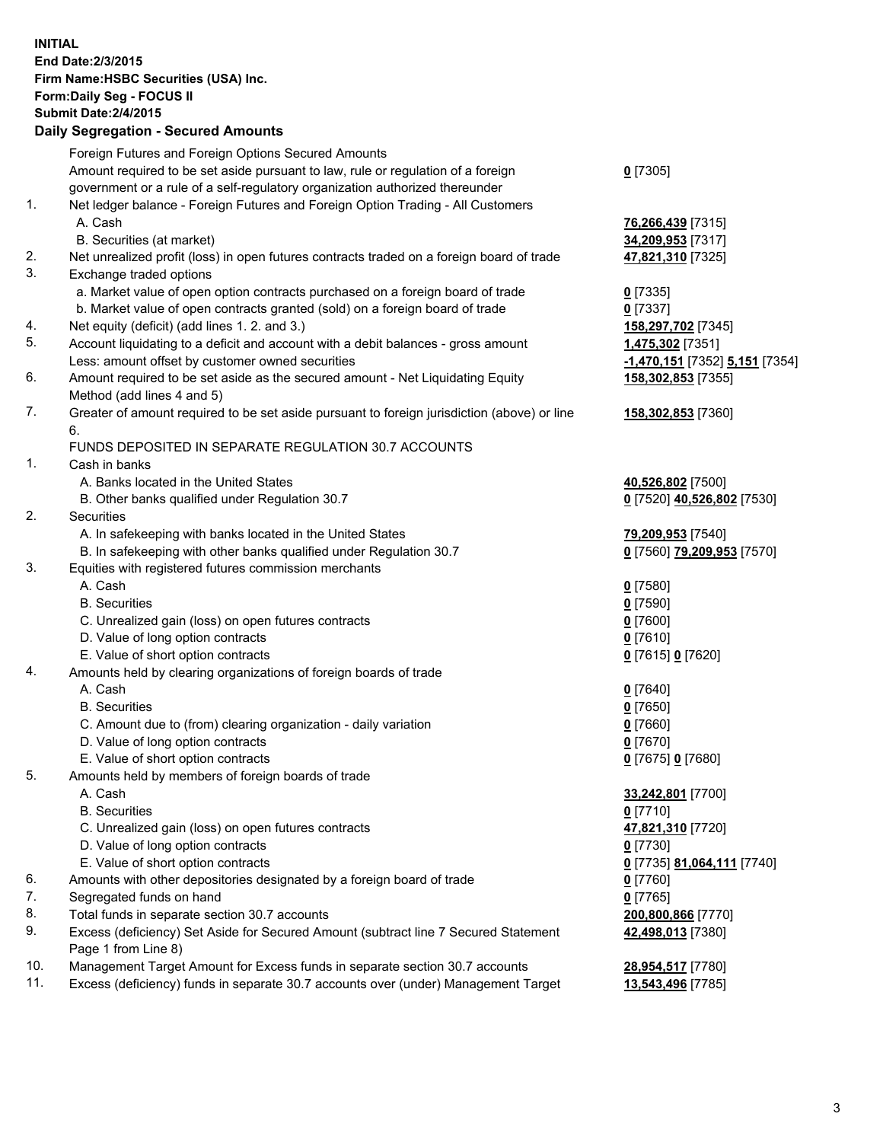**INITIAL End Date:2/3/2015 Firm Name:HSBC Securities (USA) Inc. Form:Daily Seg - FOCUS II Submit Date:2/4/2015 Daily Segregation - Secured Amounts** Foreign Futures and Foreign Options Secured Amounts Amount required to be set aside pursuant to law, rule or regulation of a foreign government or a rule of a self-regulatory organization authorized thereunder **0** [7305] 1. Net ledger balance - Foreign Futures and Foreign Option Trading - All Customers A. Cash **76,266,439** [7315] B. Securities (at market) **34,209,953** [7317] 2. Net unrealized profit (loss) in open futures contracts traded on a foreign board of trade **47,821,310** [7325] 3. Exchange traded options a. Market value of open option contracts purchased on a foreign board of trade **0** [7335] b. Market value of open contracts granted (sold) on a foreign board of trade **0** [7337] 4. Net equity (deficit) (add lines 1. 2. and 3.) **158,297,702** [7345] 5. Account liquidating to a deficit and account with a debit balances - gross amount **1,475,302** [7351] Less: amount offset by customer owned securities **-1,470,151** [7352] **5,151** [7354] 6. Amount required to be set aside as the secured amount - Net Liquidating Equity Method (add lines 4 and 5) **158,302,853** [7355] 7. Greater of amount required to be set aside pursuant to foreign jurisdiction (above) or line 6. **158,302,853** [7360] FUNDS DEPOSITED IN SEPARATE REGULATION 30.7 ACCOUNTS 1. Cash in banks A. Banks located in the United States **40,526,802** [7500] B. Other banks qualified under Regulation 30.7 **0** [7520] **40,526,802** [7530] 2. Securities A. In safekeeping with banks located in the United States **79,209,953** [7540] B. In safekeeping with other banks qualified under Regulation 30.7 **0** [7560] **79,209,953** [7570] 3. Equities with registered futures commission merchants A. Cash **0** [7580] B. Securities **0** [7590] C. Unrealized gain (loss) on open futures contracts **0** [7600] D. Value of long option contracts **0** [7610] E. Value of short option contracts **0** [7615] **0** [7620] 4. Amounts held by clearing organizations of foreign boards of trade A. Cash **0** [7640] B. Securities **0** [7650] C. Amount due to (from) clearing organization - daily variation **0** [7660] D. Value of long option contracts **0** [7670] E. Value of short option contracts **0** [7675] **0** [7680] 5. Amounts held by members of foreign boards of trade A. Cash **33,242,801** [7700] B. Securities **0** [7710] C. Unrealized gain (loss) on open futures contracts **47,821,310** [7720] D. Value of long option contracts **0** [7730] E. Value of short option contracts **0** [7735] **81,064,111** [7740] 6. Amounts with other depositories designated by a foreign board of trade **0** [7760] 7. Segregated funds on hand **0** [7765] 8. Total funds in separate section 30.7 accounts **200,800,866** [7770] 9. Excess (deficiency) Set Aside for Secured Amount (subtract line 7 Secured Statement Page 1 from Line 8) **42,498,013** [7380] 10. Management Target Amount for Excess funds in separate section 30.7 accounts **28,954,517** [7780] 11. Excess (deficiency) funds in separate 30.7 accounts over (under) Management Target **13,543,496** [7785]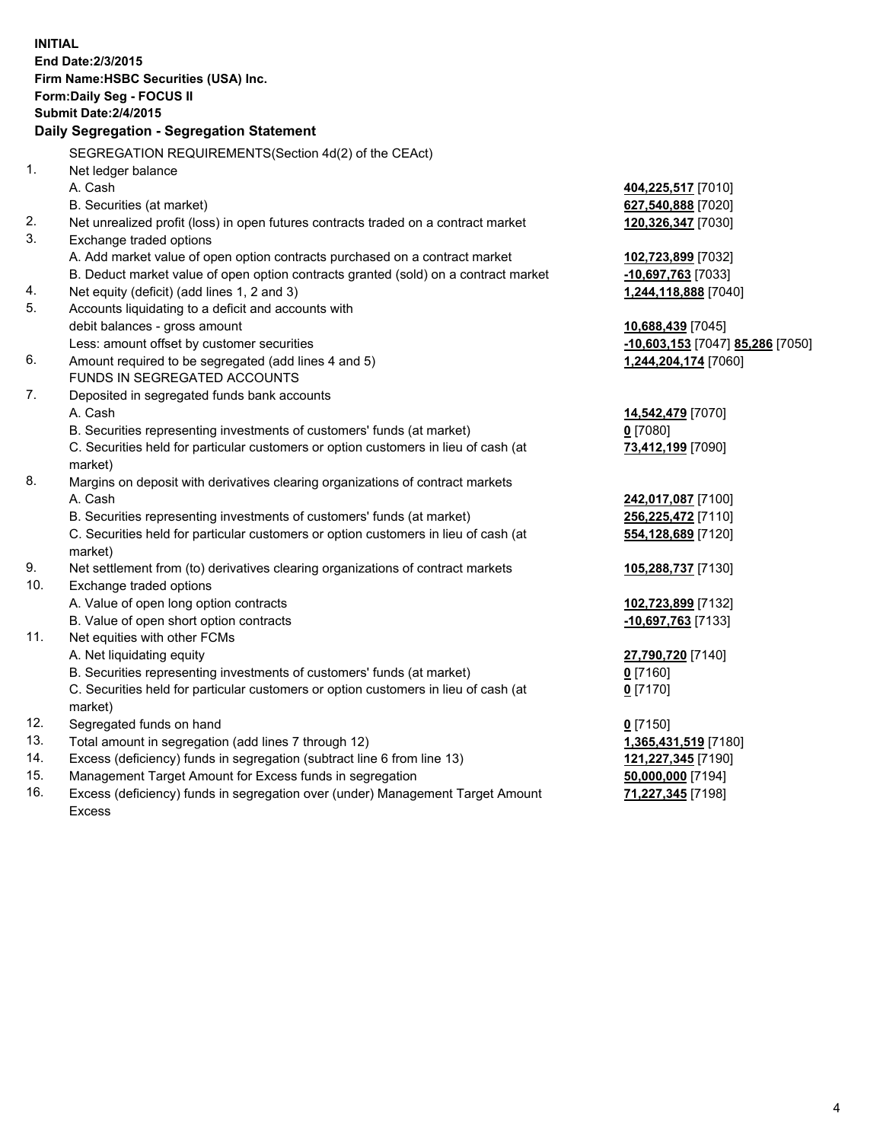| <b>INITIAL</b> | End Date: 2/3/2015<br>Firm Name: HSBC Securities (USA) Inc.<br>Form: Daily Seg - FOCUS II<br><b>Submit Date: 2/4/2015</b><br>Daily Segregation - Segregation Statement |                                  |
|----------------|------------------------------------------------------------------------------------------------------------------------------------------------------------------------|----------------------------------|
|                | SEGREGATION REQUIREMENTS(Section 4d(2) of the CEAct)                                                                                                                   |                                  |
| 1.             | Net ledger balance                                                                                                                                                     |                                  |
|                | A. Cash                                                                                                                                                                | 404,225,517 [7010]               |
|                | B. Securities (at market)                                                                                                                                              | 627,540,888 [7020]               |
| 2.             | Net unrealized profit (loss) in open futures contracts traded on a contract market                                                                                     | 120,326,347 [7030]               |
| 3.             | Exchange traded options                                                                                                                                                |                                  |
|                | A. Add market value of open option contracts purchased on a contract market                                                                                            | 102,723,899 [7032]               |
|                | B. Deduct market value of open option contracts granted (sold) on a contract market                                                                                    | -10,697,763 [7033]               |
| 4.             | Net equity (deficit) (add lines 1, 2 and 3)                                                                                                                            | 1,244,118,888 [7040]             |
| 5.             | Accounts liquidating to a deficit and accounts with                                                                                                                    |                                  |
|                | debit balances - gross amount                                                                                                                                          | 10,688,439 [7045]                |
|                | Less: amount offset by customer securities                                                                                                                             | -10,603,153 [7047] 85,286 [7050] |
| 6.             | Amount required to be segregated (add lines 4 and 5)                                                                                                                   | 1,244,204,174 [7060]             |
|                | FUNDS IN SEGREGATED ACCOUNTS                                                                                                                                           |                                  |
| 7.             | Deposited in segregated funds bank accounts                                                                                                                            |                                  |
|                | A. Cash                                                                                                                                                                | 14,542,479 [7070]                |
|                | B. Securities representing investments of customers' funds (at market)                                                                                                 | $0$ [7080]                       |
|                | C. Securities held for particular customers or option customers in lieu of cash (at                                                                                    | 73,412,199 [7090]                |
|                | market)                                                                                                                                                                |                                  |
| 8.             | Margins on deposit with derivatives clearing organizations of contract markets                                                                                         |                                  |
|                | A. Cash                                                                                                                                                                | 242,017,087 [7100]               |
|                | B. Securities representing investments of customers' funds (at market)                                                                                                 | 256,225,472 [7110]               |
|                | C. Securities held for particular customers or option customers in lieu of cash (at<br>market)                                                                         | 554,128,689 [7120]               |
| 9.             | Net settlement from (to) derivatives clearing organizations of contract markets                                                                                        | 105,288,737 [7130]               |
| 10.            | Exchange traded options                                                                                                                                                |                                  |
|                | A. Value of open long option contracts                                                                                                                                 | 102,723,899 [7132]               |
|                | B. Value of open short option contracts                                                                                                                                | -10,697,763 [7133]               |
| 11.            | Net equities with other FCMs                                                                                                                                           |                                  |
|                | A. Net liquidating equity                                                                                                                                              | 27,790,720 [7140]                |
|                | B. Securities representing investments of customers' funds (at market)                                                                                                 | <u>0</u> [7160]                  |
|                | C. Securities held for particular customers or option customers in lieu of cash (at                                                                                    | $0$ [7170]                       |
|                | market)                                                                                                                                                                |                                  |
| 12.            | Segregated funds on hand                                                                                                                                               | $0$ [7150]                       |
| 13.            | Total amount in segregation (add lines 7 through 12)                                                                                                                   | 1,365,431,519 [7180]             |
| 14.            | Excess (deficiency) funds in segregation (subtract line 6 from line 13)                                                                                                | 121,227,345 [7190]               |
| 15.            | Management Target Amount for Excess funds in segregation                                                                                                               | 50,000,000 [7194]                |
| 16.            | Excess (deficiency) funds in segregation over (under) Management Target Amount                                                                                         | 71,227,345 [7198]                |
|                | Excess                                                                                                                                                                 |                                  |